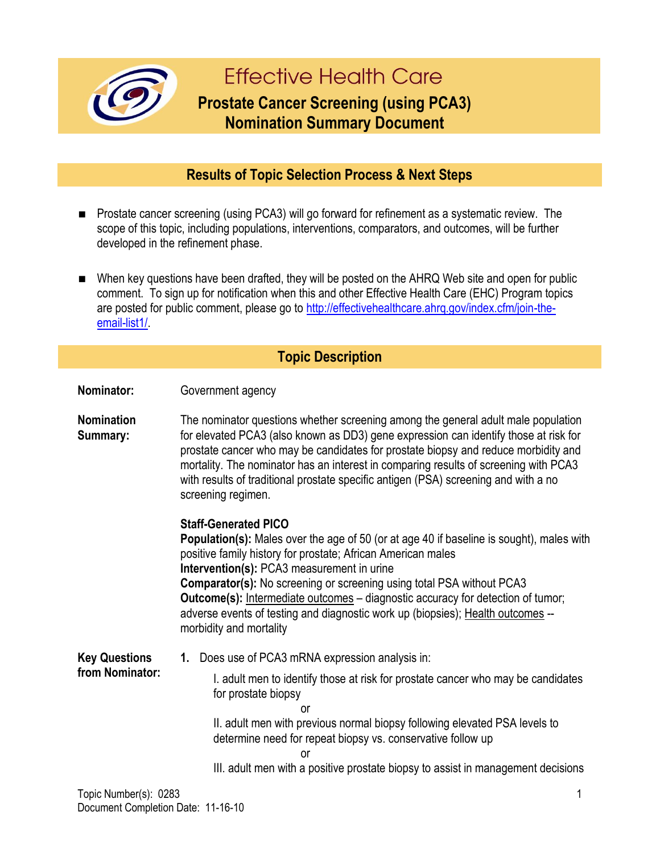

# **Effective Health Care**

## **Prostate Cancer Screening (using PCA3) Nomination Summary Document**

#### **Results of Topic Selection Process & Next Steps**

- Prostate cancer screening (using PCA3) will go forward for refinement as a systematic review. The scope of this topic, including populations, interventions, comparators, and outcomes, will be further developed in the refinement phase.
- When key questions have been drafted, they will be posted on the AHRQ Web site and open for public comment. To sign up for notification when this and other Effective Health Care (EHC) Program topics are posted for public comment, please go to http://effectivehealthcare.ahrg.gov/index.cfm/join-the[email-list1/.](http://effectivehealthcare.ahrq.gov/index.cfm/join-the-email-list1/)

#### **Topic Description**

**Nominator:** Government agency

**Nomination Summary:** The nominator questions whether screening among the general adult male population for elevated PCA3 (also known as DD3) gene expression can identify those at risk for prostate cancer who may be candidates for prostate biopsy and reduce morbidity and mortality. The nominator has an interest in comparing results of screening with PCA3 with results of traditional prostate specific antigen (PSA) screening and with a no screening regimen.

#### **Staff-Generated PICO**

**Population(s):** Males over the age of 50 (or at age 40 if baseline is sought), males with positive family history for prostate; African American males **Intervention(s):** PCA3 measurement in urine **Comparator(s):** No screening or screening using total PSA without PCA3 **Outcome(s):** Intermediate outcomes – diagnostic accuracy for detection of tumor; adverse events of testing and diagnostic work up (biopsies); Health outcomes - morbidity and mortality

**Key Questions from Nominator: 1.** Does use of PCA3 mRNA expression analysis in: I. adult men to identify those at risk for prostate cancer who may be candidates for prostate biopsy or II. adult men with previous normal biopsy following elevated PSA levels to determine need for repeat biopsy vs. conservative follow up or

III. adult men with a positive prostate biopsy to assist in management decisions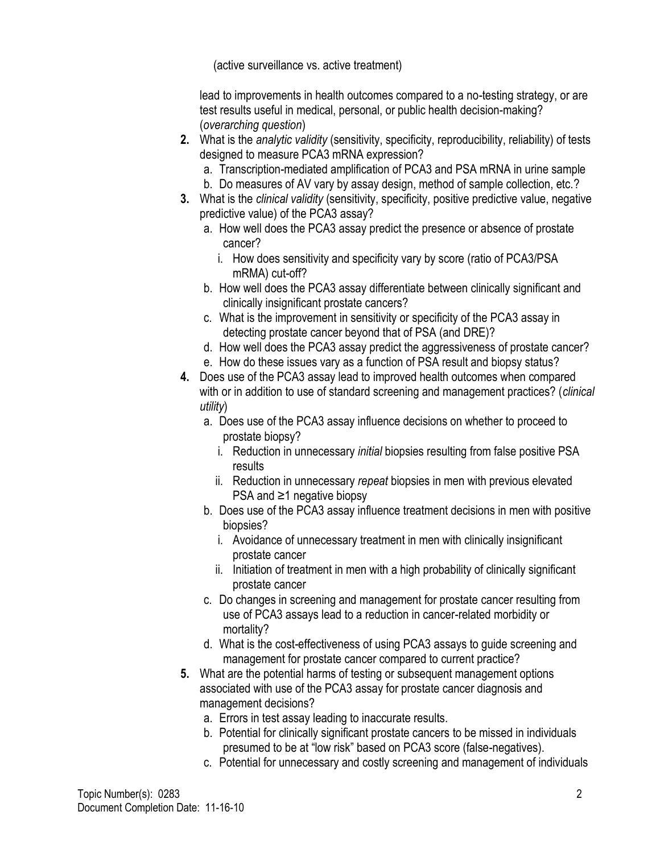(active surveillance vs. active treatment)

lead to improvements in health outcomes compared to a no-testing strategy, or are test results useful in medical, personal, or public health decision-making? (*overarching question*)

- **2.** What is the *analytic validity* (sensitivity, specificity, reproducibility, reliability) of tests designed to measure PCA3 mRNA expression?
	- a. Transcription-mediated amplification of PCA3 and PSA mRNA in urine sample
	- b. Do measures of AV vary by assay design, method of sample collection, etc.?
- **3.** What is the *clinical validity* (sensitivity, specificity, positive predictive value, negative predictive value) of the PCA3 assay?
	- a. How well does the PCA3 assay predict the presence or absence of prostate cancer?
		- i. How does sensitivity and specificity vary by score (ratio of PCA3/PSA mRMA) cut-off?
	- b. How well does the PCA3 assay differentiate between clinically significant and clinically insignificant prostate cancers?
	- c. What is the improvement in sensitivity or specificity of the PCA3 assay in detecting prostate cancer beyond that of PSA (and DRE)?
	- d. How well does the PCA3 assay predict the aggressiveness of prostate cancer?
	- e. How do these issues vary as a function of PSA result and biopsy status?
- **4.** Does use of the PCA3 assay lead to improved health outcomes when compared with or in addition to use of standard screening and management practices? (*clinical utility*)
	- a. Does use of the PCA3 assay influence decisions on whether to proceed to prostate biopsy?
		- i. Reduction in unnecessary *initial* biopsies resulting from false positive PSA results
		- ii. Reduction in unnecessary *repeat* biopsies in men with previous elevated PSA and ≥1 negative biopsy
	- b. Does use of the PCA3 assay influence treatment decisions in men with positive biopsies?
		- i. Avoidance of unnecessary treatment in men with clinically insignificant prostate cancer
		- ii. Initiation of treatment in men with a high probability of clinically significant prostate cancer
	- c. Do changes in screening and management for prostate cancer resulting from use of PCA3 assays lead to a reduction in cancer-related morbidity or mortality?
	- d. What is the cost-effectiveness of using PCA3 assays to guide screening and management for prostate cancer compared to current practice?
- **5.** What are the potential harms of testing or subsequent management options associated with use of the PCA3 assay for prostate cancer diagnosis and management decisions?
	- a. Errors in test assay leading to inaccurate results.
	- b. Potential for clinically significant prostate cancers to be missed in individuals presumed to be at "low risk" based on PCA3 score (false-negatives).
	- c. Potential for unnecessary and costly screening and management of individuals